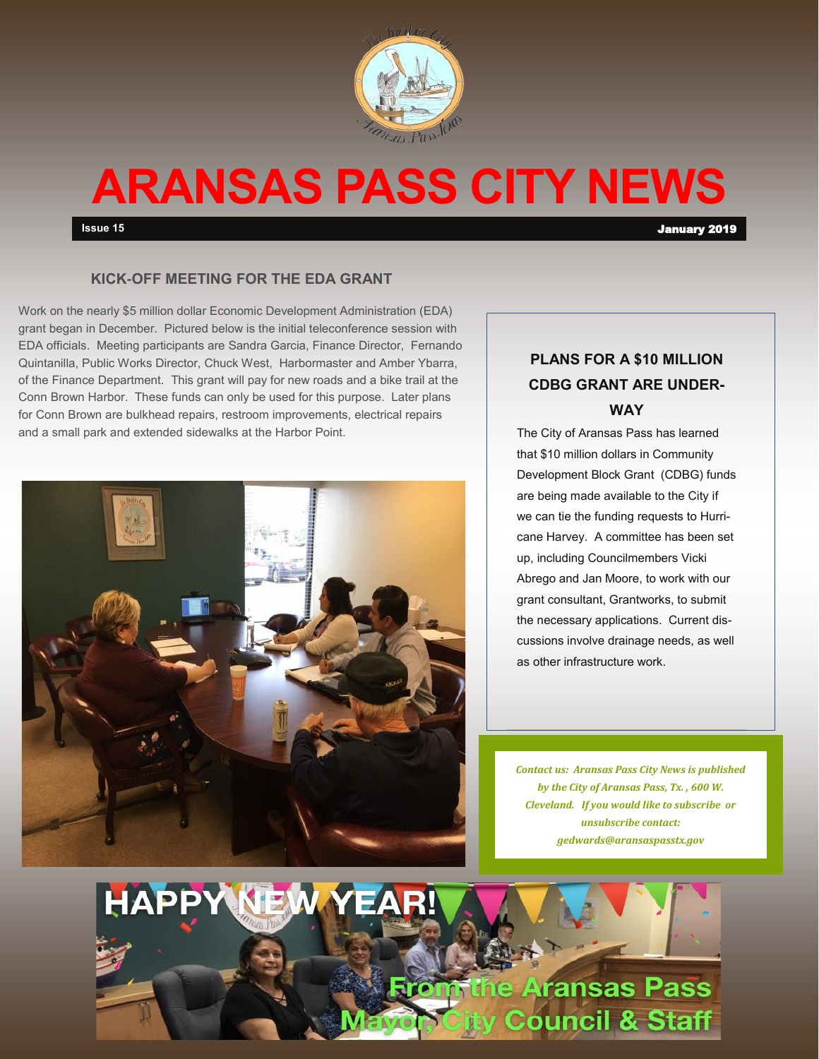

## **ARANSAS PASS CITY NEWS**

**Issue 15** January 2019

### **KICK-OFF MEETING FOR THE EDA GRANT**

Work on the nearly \$5 million dollar Economic Development Administration (EDA) grant began in December. Pictured below is the initial teleconference session with EDA officials. Meeting participants are Sandra Garcia, Finance Director, Fernando Quintanilla, Public Works Director, Chuck West, Harbormaster and Amber Ybarra, of the Finance Department. This grant will pay for new roads and a bike trail at the Conn Brown Harbor. These funds can only be used for this purpose. Later plans for Conn Brown are bulkhead repairs, restroom improvements, electrical repairs and a small park and extended sidewalks at the Harbor Point.



### **PLANS FOR A \$10 MILLION CDBG GRANT ARE UNDER-WAY**

The City of Aransas Pass has learned that \$10 million dollars in Community Development Block Grant (CDBG) funds are being made available to the City if we can tie the funding requests to Hurricane Harvey. A committee has been set up, including Councilmembers Vicki Abrego and Jan Moore, to work with our grant consultant, Grantworks, to submit the necessary applications. Current discussions involve drainage needs, as well as other infrastructure work.

*Contact us: Aransas Pass City News is published by the City of Aransas Pass, Tx. , 600 W. Cleveland. If you would like to subscribe or unsubscribe contact: gedwards@aransaspasstx.gov*

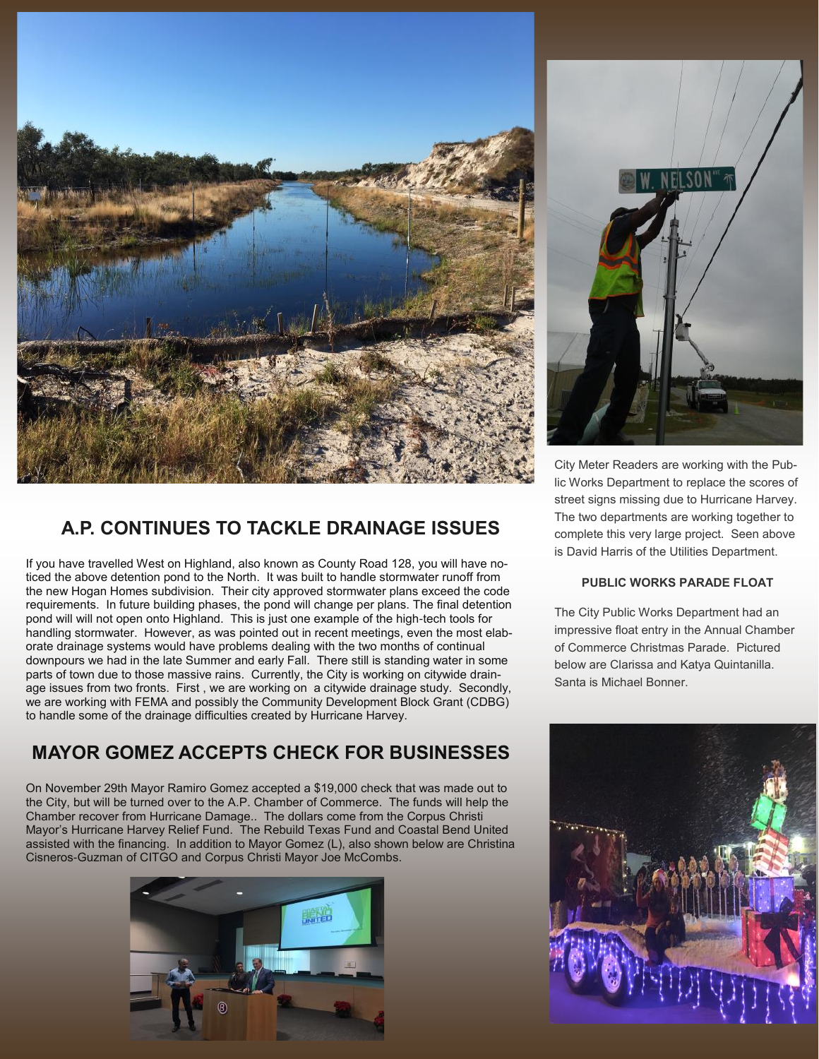

### **A.P. CONTINUES TO TACKLE DRAINAGE ISSUES**

If you have travelled West on Highland, also known as County Road 128, you will have noticed the above detention pond to the North. It was built to handle stormwater runoff from the new Hogan Homes subdivision. Their city approved stormwater plans exceed the code requirements. In future building phases, the pond will change per plans. The final detention pond will will not open onto Highland. This is just one example of the high-tech tools for handling stormwater. However, as was pointed out in recent meetings, even the most elaborate drainage systems would have problems dealing with the two months of continual downpours we had in the late Summer and early Fall. There still is standing water in some parts of town due to those massive rains. Currently, the City is working on citywide drainage issues from two fronts. First , we are working on a citywide drainage study. Secondly, we are working with FEMA and possibly the Community Development Block Grant (CDBG) to handle some of the drainage difficulties created by Hurricane Harvey.

### **MAYOR GOMEZ ACCEPTS CHECK FOR BUSINESSES**

On November 29th Mayor Ramiro Gomez accepted a \$19,000 check that was made out to the City, but will be turned over to the A.P. Chamber of Commerce. The funds will help the Chamber recover from Hurricane Damage.. The dollars come from the Corpus Christi Mayor's Hurricane Harvey Relief Fund. The Rebuild Texas Fund and Coastal Bend United assisted with the financing. In addition to Mayor Gomez (L), also shown below are Christina Cisneros-Guzman of CITGO and Corpus Christi Mayor Joe McCombs.





City Meter Readers are working with the Public Works Department to replace the scores of street signs missing due to Hurricane Harvey. The two departments are working together to complete this very large project. Seen above is David Harris of the Utilities Department.

### **PUBLIC WORKS PARADE FLOAT**

The City Public Works Department had an impressive float entry in the Annual Chamber of Commerce Christmas Parade. Pictured below are Clarissa and Katya Quintanilla. Santa is Michael Bonner.

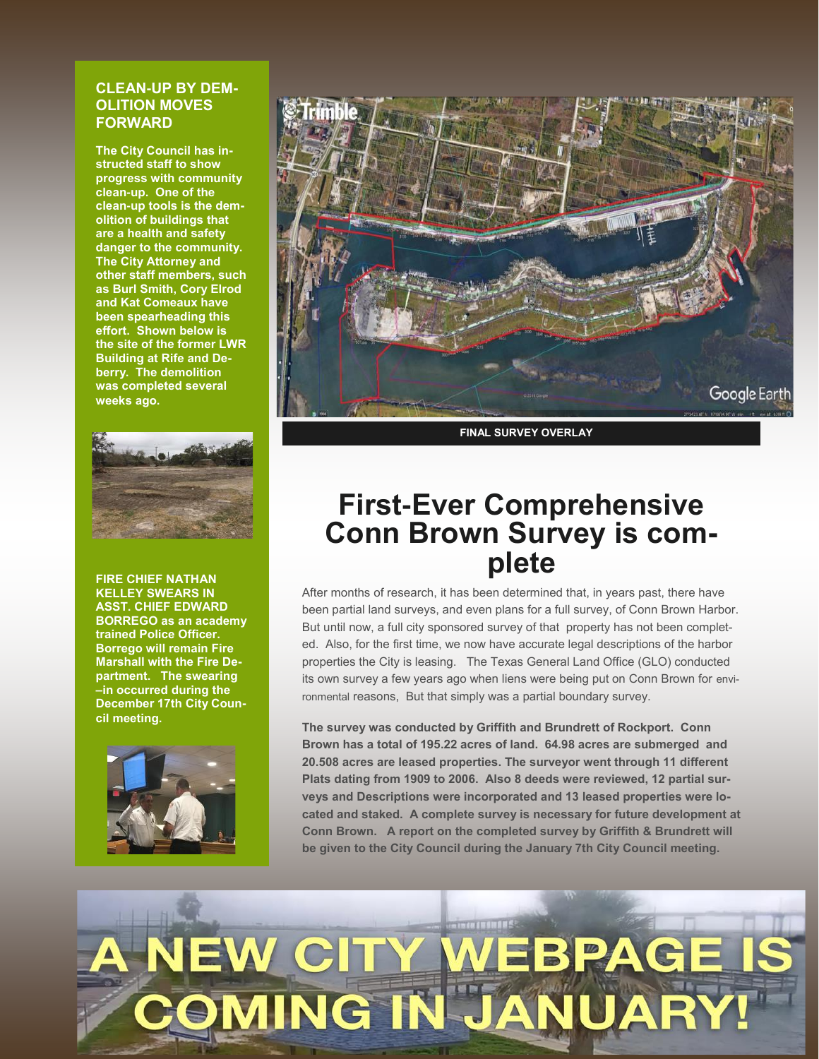### **CLEAN-UP BY DEM-OLITION MOVES FORWARD**

**The City Council has instructed staff to show progress with community clean-up. One of the clean-up tools is the demolition of buildings that are a health and safety danger to the community. The City Attorney and other staff members, such as Burl Smith, Cory Elrod and Kat Comeaux have been spearheading this effort. Shown below is the site of the former LWR Building at Rife and Deberry. The demolition was completed several weeks ago.**



**FIRE CHIEF NATHAN KELLEY SWEARS IN ASST. CHIEF EDWARD BORREGO as an academy trained Police Officer. Borrego will remain Fire Marshall with the Fire Department. The swearing –in occurred during the December 17th City Council meeting.** 





**FINAL SURVEY OVERLAY**

### **First-Ever Comprehensive Conn Brown Survey is complete**

After months of research, it has been determined that, in years past, there have been partial land surveys, and even plans for a full survey, of Conn Brown Harbor. But until now, a full city sponsored survey of that property has not been completed. Also, for the first time, we now have accurate legal descriptions of the harbor properties the City is leasing. The Texas General Land Office (GLO) conducted its own survey a few years ago when liens were being put on Conn Brown for environmental reasons, But that simply was a partial boundary survey.

**The survey was conducted by Griffith and Brundrett of Rockport. Conn Brown has a total of 195.22 acres of land. 64.98 acres are submerged and 20.508 acres are leased properties. The surveyor went through 11 different Plats dating from 1909 to 2006. Also 8 deeds were reviewed, 12 partial surveys and Descriptions were incorporated and 13 leased properties were located and staked. A complete survey is necessary for future development at Conn Brown. A report on the completed survey by Griffith & Brundrett will be given to the City Council during the January 7th City Council meeting.** 

# EW CI **OMING IN**